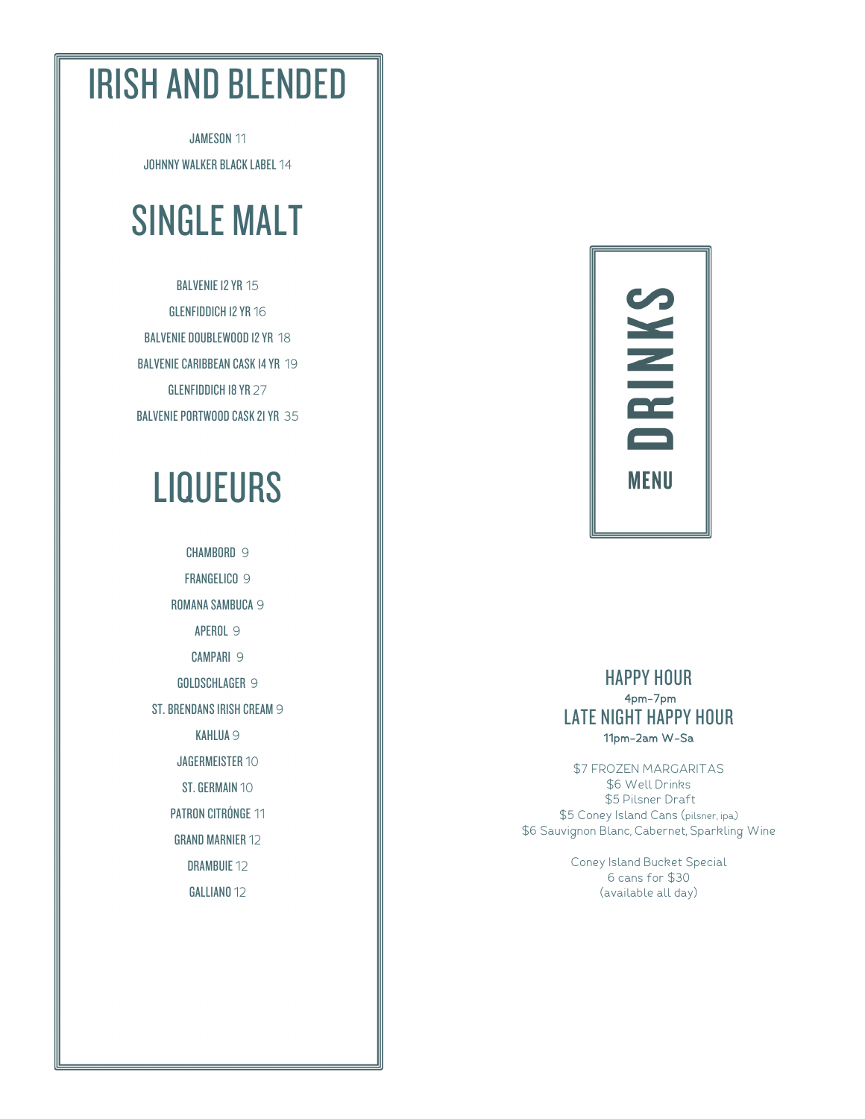### IRISH AND BLENDED

JAMESON 11 JOHNNY WALKER BLACK LABEL 14

## SINGLE MALT

BALVENIE 12 YR 15 GLENFIDDICH 12 YR 16 BALVENIE DOUBLEWOOD 12 YR 18 BALVENIE CARIBBEAN CASK 14 YR 19 GLENFIDDICH 18 YR 27 BALVENIE PORTWOOD CASK 21 YR 35

## **LIQUEURS**

CHAMBORD 9 FRANGELICO 9 ROMANA SAMBUCA 9 APEROL 9 CAMPARI 9 GOLDSCHLAGER 9 ST. BRENDANS IRISH CREAM 9 KAHLUA 9 JAGERMEISTER 10 ST. GERMAIN 10 PATRON CITRÓNGE 11 GRAND MARNIER 12 DRAMBUIE 12 GALLIANO 12



#### HAPPY HOUR 4pm-7pm LATE NIGHT HAPPY HOUR 11pm-2am W-Sa

\$7 FROZEN MARGARITAS \$6 Well Drinks \$5 Pilsner Draft \$5 Coney Island Cans (pilsner, ipa,) \$6 Sauvignon Blanc, Cabernet, Sparkling Wine

> Coney Island Bucket Special 6 cans for \$30 (available all day)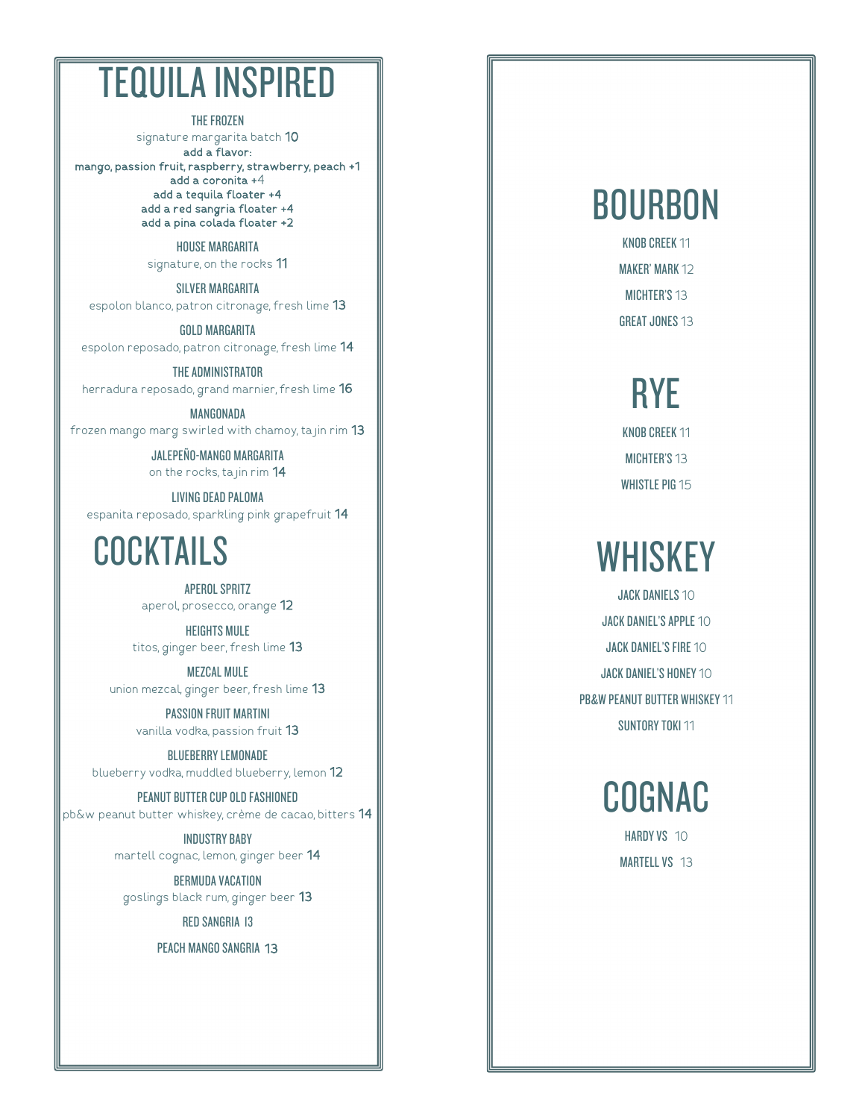### TEQUILA INSPIRED

THE FROZEN

signature margarita batch 10 add a flavor: mango, passion fruit, raspberry, strawberry, peach +1 add a coronita +4 add a tequila floater +4 add a red sangria floater +4 add a pina colada floater +2

> HOUSE MARGARITA signature, on the rocks 11

SILVER MARGARITA espolon blanco, patron citronage, fresh lime 13

GOLD MARGARITA espolon reposado, patron citronage , fresh lime 1 4

THE ADMINISTRATOR herradura reposado, grand marnier, fresh lime **16** 

MANGONADA frozen mango marg swirled with chamoy, ta jin rim 13

> JALEPEÑO -MANGO MARGARITA on the rocks, ta jin rim 14

LIVING DEAD PALOMA espanita reposado, sparkling pink grapefruit 14

#### **COCKTAILS**

APEROL SPRITZ aperol, prosecco, orange  $\sf 12$ 

HEIGHTS MULE titos, ginger beer, fresh lime 13

MEZCAL MULE union mezcal, ginger beer, fresh lime **13** 

> PASSION FRUIT MARTINI vanilla vodka, passion fruit 13

BLUEBERRY LEMONADE blueberry vodka, muddled blueberry, lemon **12** 

PEANUT BUTTER CUP OLD FASHIONED pb&w peanut butter whiskey, crème de cacao, bitters **14** 

> INDUSTRY BABY martell cognac, lemon, ginger beer 1 4

BERMUDA VACATION goslings black rum, ginger beer 1 3

RED SANGRIA 13

PEACH MANGO SANGRIA 13

### BOURBON

KNOB CREEK 11 MAKER' MARK 12 MICHTER'S 13 GREAT JONES 13

# RYE

KNOB CREEK 11 MICHTER'S 13 WHISTLE PIG 15

## **WHISKEY**

**JACK DANIELS 10** JACK DANIEL'S APPLE 10 JACK DANIEL'S FIRE 10 JACK DANIEL'S HONEY 10 PB&W PEANUT BUTTER WHISKEY 11 SUNTORY TOKI 11

COGNAC

HARDY VS 10 MARTELL VS 13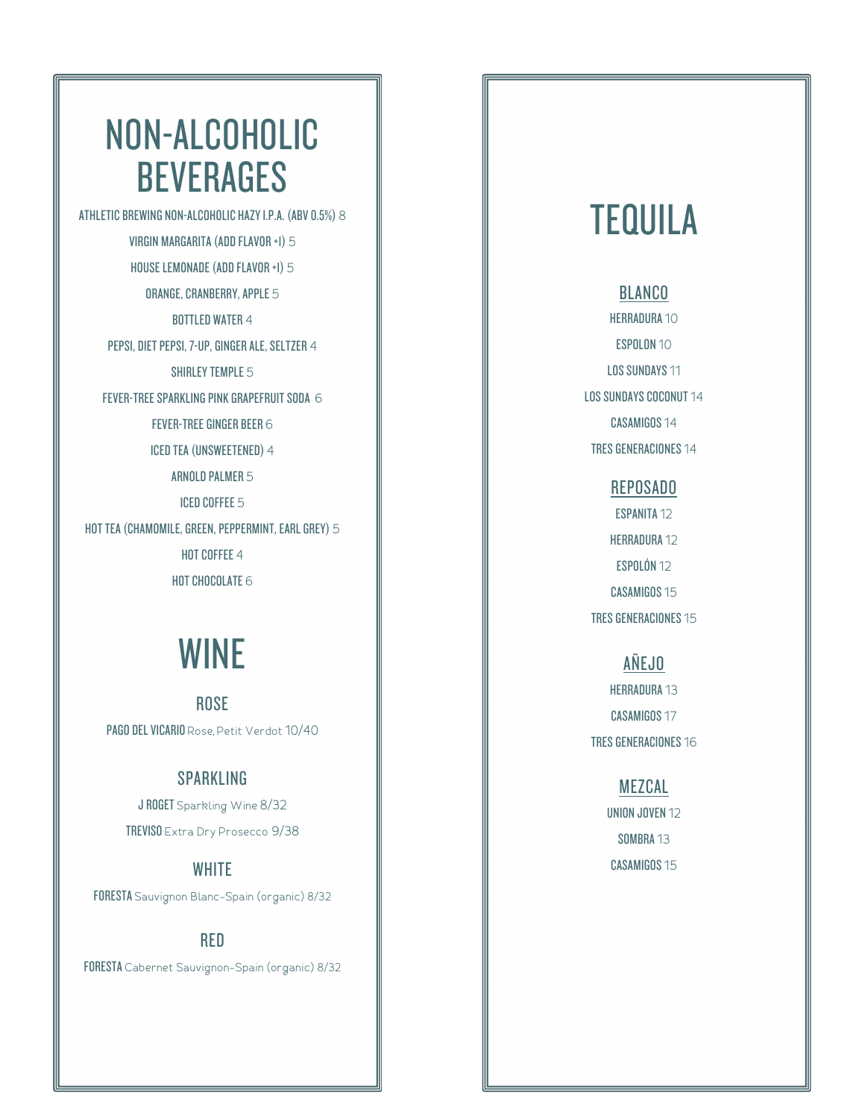### NON -ALCOHOLIC **BEVERAGES**

ATHLETIC BREWING NON -ALCOHOLIC HAZY I.P.A. (ABV 0.5%) 8 VIRGIN MARGARITA (ADD FLAVOR +1) 5 HOUSE LEMONADE (ADD FLAVOR +1) 5 ORANGE, CRANBERR Y, APPLE 5 BOTTLED WATER 4 PEPSI, DIET PEPSI, 7-UP, GINGER ALE, SELTZER 4 SHIRLEY TEMPLE 5 FEVER-TREE SPARKLING PINK GRAPEFRUIT SODA 6 FEVER -TREE GINGER BEER 6 ICED TEA (UNSWEETENED) 4 ARNOLD PALMER 5 ICED COFFEE 5 HOT TEA (CHAMOMILE, GREEN, PEPPERMINT, EARL GREY) 5 HOT COFFEE 4 HOT CHOCOLATE 6

### WINE

ROSE PAGO DEL VICARIO Rose, Petit Verdot 10/40

#### **SPARKLING**

J ROGET Sparkling Wine 8/32 TREVISO Extra Dry Prosecco 9/38

#### **WHITE**

FORESTA Sauvignon Blanc –Spain (organic) 8/32

RED

FORESTA Cabernet Sauvignon-Spain (organic) 8/32

### **TEQUILA**

#### **BLANCO**

HERRADURA 10 ESPOLON 10 LOS SUNDAYS 11 LOS SUNDAYS COCONUT 14 CASAMIGOS 14 TRES GENERACIONES 14

#### REPOSADO

ESPANITA 12 HERRADURA 12 ESPOLÓN 12 CASAMIGOS 15 TRES GENERACIONES 15

#### AÑEJO

HERRADURA 13 CASAMIGOS 17 TRES GENERACIONES 16

#### MEZCAL

UNION JOVEN 12 SOMBRA 13 CASAMIGOS 15